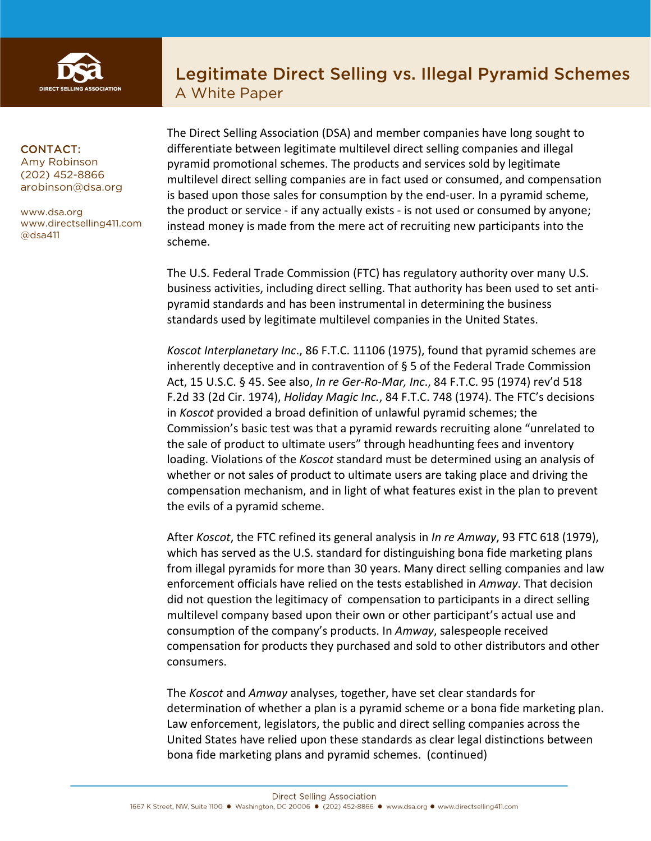

# Legitimate Direct Selling vs. Illegal Pyramid Schemes A White Paper

#### CONTACT:

Amy Robinson (202) 452-8866 arobinson@dsa.org

www.dsa.org www.directselling411.com @dsa411

The Direct Selling Association (DSA) and member companies have long sought to differentiate between legitimate multilevel direct selling companies and illegal pyramid promotional schemes. The products and services sold by legitimate multilevel direct selling companies are in fact used or consumed, and compensation is based upon those sales for consumption by the end-user. In a pyramid scheme, the product or service - if any actually exists - is not used or consumed by anyone; instead money is made from the mere act of recruiting new participants into the scheme.

The U.S. Federal Trade Commission (FTC) has regulatory authority over many U.S. business activities, including direct selling. That authority has been used to set antipyramid standards and has been instrumental in determining the business standards used by legitimate multilevel companies in the United States.

*Koscot Interplanetary Inc*., 86 F.T.C. 11106 (1975), found that pyramid schemes are inherently deceptive and in contravention of  $\S$  5 of the Federal Trade Commission Act, 15 U.S.C. § 45. See also, *In re Ger-Ro-Mar, Inc*., 84 F.T.C. 95 (1974) rev'd 518 F.2d 33 (2d Cir. 1974), *Holiday Magic Inc.*, 84 F.T.C. 748 (1974). The FTC's decisions in *Koscot* provided a broad definition of unlawful pyramid schemes; the Commission's basic test was that a pyramid rewards recruiting alone "unrelated to the sale of product to ultimate users" through headhunting fees and inventory loading. Violations of the *Koscot* standard must be determined using an analysis of whether or not sales of product to ultimate users are taking place and driving the compensation mechanism, and in light of what features exist in the plan to prevent the evils of a pyramid scheme.

After *Koscot*, the FTC refined its general analysis in *In re Amway*, 93 FTC 618 (1979), which has served as the U.S. standard for distinguishing bona fide marketing plans from illegal pyramids for more than 30 years. Many direct selling companies and law enforcement officials have relied on the tests established in *Amway*. That decision did not question the legitimacy of compensation to participants in a direct selling multilevel company based upon their own or other participant's actual use and consumption of the company's products. In *Amway*, salespeople received compensation for products they purchased and sold to other distributors and other consumers.

The *Koscot* and *Amway* analyses, together, have set clear standards for determination of whether a plan is a pyramid scheme or a bona fide marketing plan. Law enforcement, legislators, the public and direct selling companies across the United States have relied upon these standards as clear legal distinctions between bona fide marketing plans and pyramid schemes. (continued)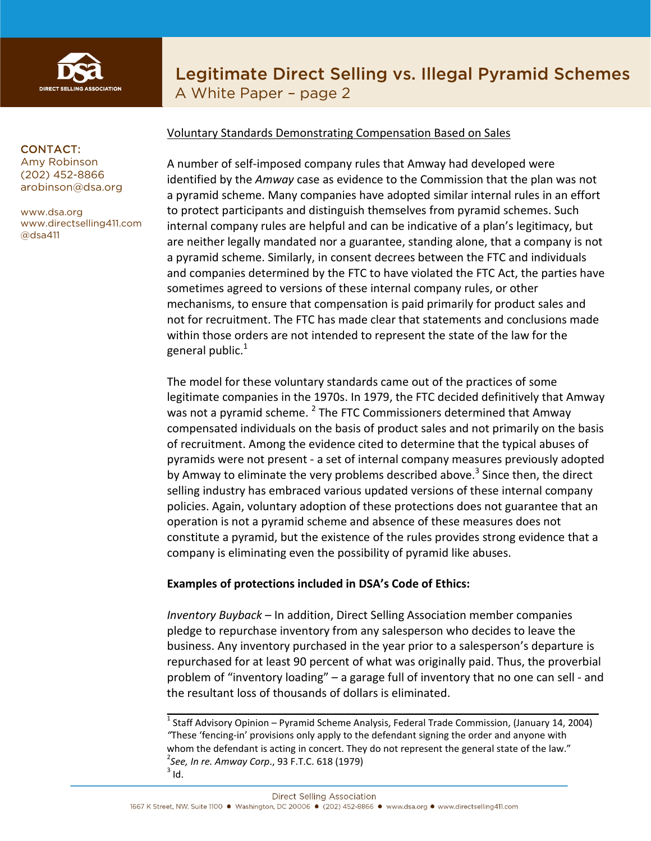

# Legitimate Direct Selling vs. Illegal Pyramid Schemes A White Paper – page 2

CONTACT:

Amy Robinson (202) 452-8866 arobinson@dsa.org

www.dsa.org www.directselling411.com @dsa411

#### Voluntary Standards Demonstrating Compensation Based on Sales

A number of self-imposed company rules that Amway had developed were identified by the *Amway* case as evidence to the Commission that the plan was not a pyramid scheme. Many companies have adopted similar internal rules in an effort to protect participants and distinguish themselves from pyramid schemes. Such internal company rules are helpful and can be indicative of a plan's legitimacy, but are neither legally mandated nor a guarantee, standing alone, that a company is not a pyramid scheme. Similarly, in consent decrees between the FTC and individuals and companies determined by the FTC to have violated the FTC Act, the parties have sometimes agreed to versions of these internal company rules, or other mechanisms, to ensure that compensation is paid primarily for product sales and not for recruitment. The FTC has made clear that statements and conclusions made within those orders are not intended to represent the state of the law for the general public. $^{1}$ 

The model for these voluntary standards came out of the practices of some legitimate companies in the 1970s. In 1979, the FTC decided definitively that Amway was not a pyramid scheme.  $2$  The FTC Commissioners determined that Amway compensated individuals on the basis of product sales and not primarily on the basis of recruitment. Among the evidence cited to determine that the typical abuses of pyramids were not present - a set of internal company measures previously adopted by Amway to eliminate the very problems described above.<sup>3</sup> Since then, the direct selling industry has embraced various updated versions of these internal company policies. Again, voluntary adoption of these protections does not guarantee that an operation is not a pyramid scheme and absence of these measures does not constitute a pyramid, but the existence of the rules provides strong evidence that a company is eliminating even the possibility of pyramid like abuses.

#### **Examples of protections included in DSA's Code of Ethics:**

*Inventory Buyback* – In addition, Direct Selling Association member companies pledge to repurchase inventory from any salesperson who decides to leave the business. Any inventory purchased in the year prior to a salesperson's departure is repurchased for at least 90 percent of what was originally paid. Thus, the proverbial problem of "inventory loading" – a garage full of inventory that no one can sell - and the resultant loss of thousands of dollars is eliminated.

\_\_\_\_\_\_\_\_\_\_\_\_\_\_\_\_\_\_\_\_\_\_\_\_\_\_\_\_\_\_\_\_\_\_\_\_\_\_\_\_\_\_\_\_\_\_\_\_\_\_\_\_\_\_\_\_\_\_\_\_\_\_\_\_\_\_\_\_ <sup>1</sup> Staff Advisory Opinion – Pyramid Scheme Analysis, Federal Trade Commission, (January 14, 2004) *"*These 'fencing-in' provisions only apply to the defendant signing the order and anyone with whom the defendant is acting in concert. They do not represent the general state of the law." <sup>2</sup>See, In re. Amway Corp., 93 F.T.C. 618 (1979)<br><sup>3</sup> Id.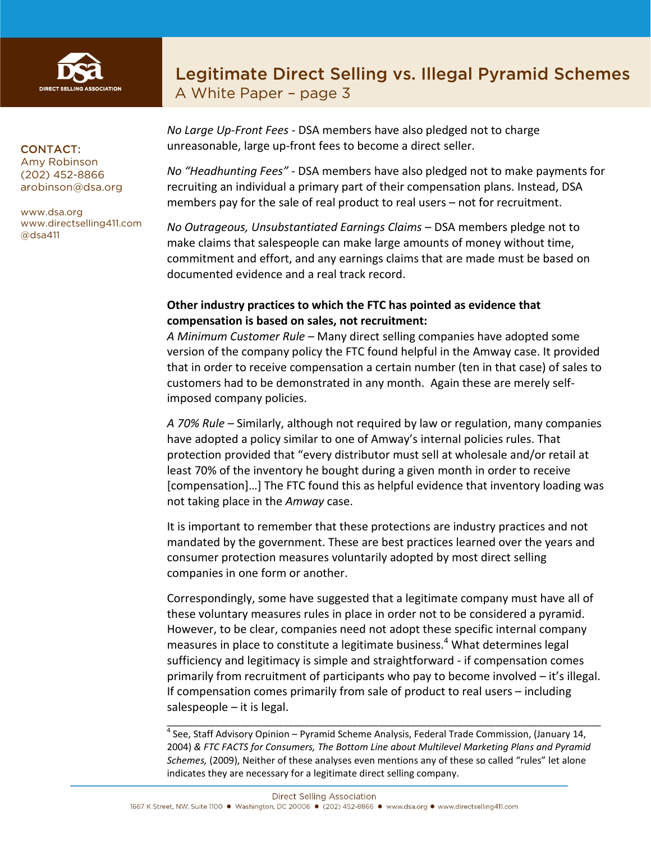

# Legitimate Direct Selling vs. Illegal Pyramid Schemes A White Paper – page 3

#### CONTACT:

Amy Robinson (202) 452-8866 arobinson@dsa.org

www.dsa.org www.directselling411.com @dsa411

*No Large Up-Front Fees* - DSA members have also pledged not to charge unreasonable, large up-front fees to become a direct seller.

*No "Headhunting Fees"* - DSA members have also pledged not to make payments for recruiting an individual a primary part of their compensation plans. Instead, DSA members pay for the sale of real product to real users – not for recruitment.

*No Outrageous, Unsubstantiated Earnings Claims* – DSA members pledge not to make claims that salespeople can make large amounts of money without time, commitment and effort, and any earnings claims that are made must be based on documented evidence and a real track record.

## **Other industry practices to which the FTC has pointed as evidence that compensation is based on sales, not recruitment:**

*A Minimum Customer Rule* – Many direct selling companies have adopted some version of the company policy the FTC found helpful in the Amway case. It provided that in order to receive compensation a certain number (ten in that case) of sales to customers had to be demonstrated in any month. Again these are merely selfimposed company policies.

*A 70% Rule –* Similarly, although not required by law or regulation, many companies have adopted a policy similar to one of Amway's internal policies rules. That protection provided that "every distributor must sell at wholesale and/or retail at least 70% of the inventory he bought during a given month in order to receive [compensation]…] The FTC found this as helpful evidence that inventory loading was not taking place in the *Amway* case.

It is important to remember that these protections are industry practices and not mandated by the government. These are best practices learned over the years and consumer protection measures voluntarily adopted by most direct selling companies in one form or another.

Correspondingly, some have suggested that a legitimate company must have all of these voluntary measures rules in place in order not to be considered a pyramid. However, to be clear, companies need not adopt these specific internal company measures in place to constitute a legitimate business.<sup>4</sup> What determines legal sufficiency and legitimacy is simple and straightforward - if compensation comes primarily from recruitment of participants who pay to become involved – it's illegal. If compensation comes primarily from sale of product to real users – including salespeople – it is legal.

 $4$  See, Staff Advisory Opinion – Pyramid Scheme Analysis, Federal Trade Commission, (January 14, 2004) *& FTC FACTS for Consumers, The Bottom Line about Multilevel Marketing Plans and Pyramid Schemes,* (2009), Neither of these analyses even mentions any of these so called "rules" let alone indicates they are necessary for a legitimate direct selling company.

\_\_\_\_\_\_\_\_\_\_\_\_\_\_\_\_\_\_\_\_\_\_\_\_\_\_\_\_\_\_\_\_\_\_\_\_\_\_\_\_\_\_\_\_\_\_\_\_\_\_\_\_\_\_\_\_\_\_\_\_\_\_\_\_\_\_\_\_\_\_\_\_\_\_\_\_\_\_\_\_\_\_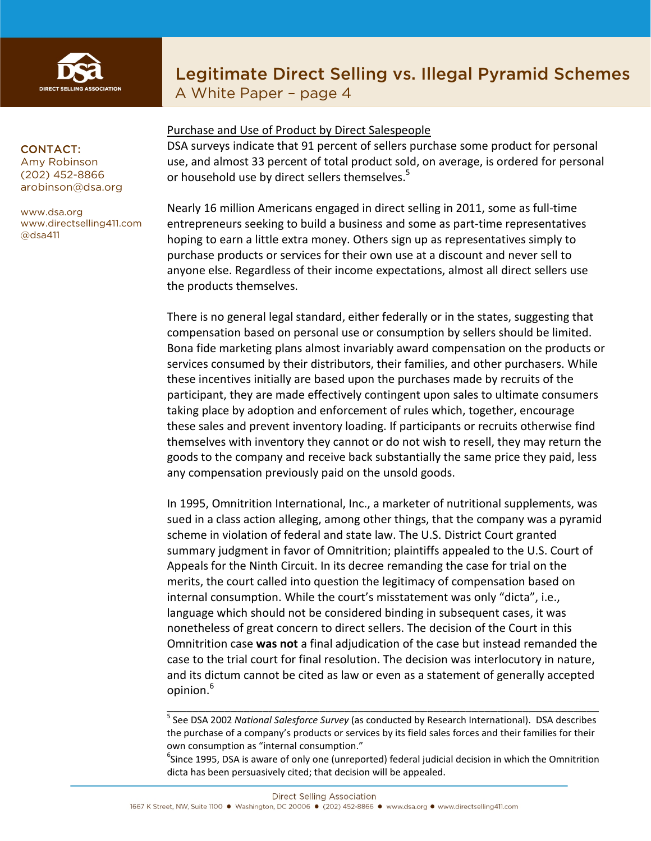

# Legitimate Direct Selling vs. Illegal Pyramid Schemes

A White Paper – page 4

#### CONTACT:

Amy Robinson (202) 452-8866 arobinson@dsa.org

www.dsa.org www.directselling411.com @dsa411

## Purchase and Use of Product by Direct Salespeople

DSA surveys indicate that 91 percent of sellers purchase some product for personal use, and almost 33 percent of total product sold, on average, is ordered for personal or household use by direct sellers themselves.<sup>5</sup>

Nearly 16 million Americans engaged in direct selling in 2011, some as full-time entrepreneurs seeking to build a business and some as part-time representatives hoping to earn a little extra money. Others sign up as representatives simply to purchase products or services for their own use at a discount and never sell to anyone else. Regardless of their income expectations, almost all direct sellers use the products themselves.

There is no general legal standard, either federally or in the states, suggesting that compensation based on personal use or consumption by sellers should be limited. Bona fide marketing plans almost invariably award compensation on the products or services consumed by their distributors, their families, and other purchasers. While these incentives initially are based upon the purchases made by recruits of the participant, they are made effectively contingent upon sales to ultimate consumers taking place by adoption and enforcement of rules which, together, encourage these sales and prevent inventory loading. If participants or recruits otherwise find themselves with inventory they cannot or do not wish to resell, they may return the goods to the company and receive back substantially the same price they paid, less any compensation previously paid on the unsold goods.

In 1995, Omnitrition International, Inc., a marketer of nutritional supplements, was sued in a class action alleging, among other things, that the company was a pyramid scheme in violation of federal and state law. The U.S. District Court granted summary judgment in favor of Omnitrition; plaintiffs appealed to the U.S. Court of Appeals for the Ninth Circuit. In its decree remanding the case for trial on the merits, the court called into question the legitimacy of compensation based on internal consumption. While the court's misstatement was only "dicta", i.e., language which should not be considered binding in subsequent cases, it was nonetheless of great concern to direct sellers. The decision of the Court in this Omnitrition case **was not** a final adjudication of the case but instead remanded the case to the trial court for final resolution. The decision was interlocutory in nature, and its dictum cannot be cited as law or even as a statement of generally accepted opinion.<sup>6</sup>

\_\_\_\_\_\_\_\_\_\_\_\_\_\_\_\_\_\_\_\_\_\_\_\_\_\_\_\_\_\_\_\_\_\_\_\_\_\_\_\_\_\_\_\_\_\_\_\_\_\_\_\_\_\_\_\_\_\_\_\_\_\_\_\_\_\_\_\_

 ${}^{6}$ Since 1995, DSA is aware of only one (unreported) federal judicial decision in which the Omnitrition dicta has been persuasively cited; that decision will be appealed.

<sup>5</sup> See DSA 2002 *National Salesforce Survey* (as conducted by Research International). DSA describes the purchase of a company's products or services by its field sales forces and their families for their own consumption as "internal consumption."